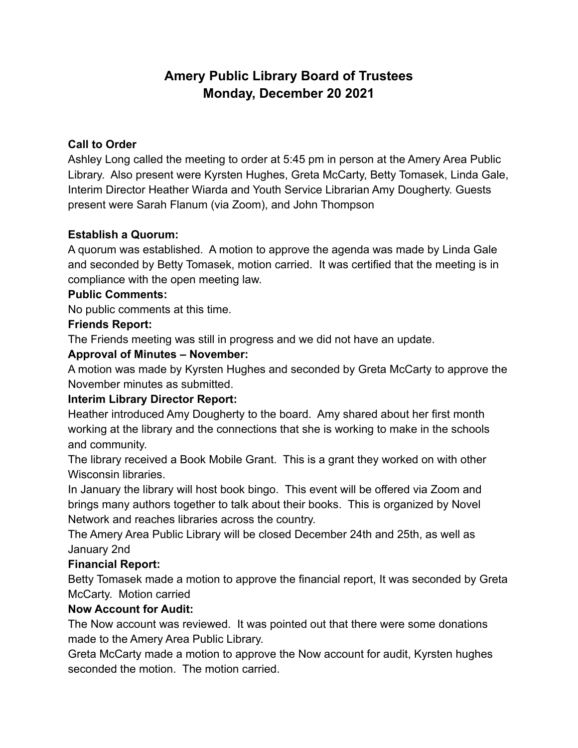# **Amery Public Library Board of Trustees Monday, December 20 2021**

## **Call to Order**

Ashley Long called the meeting to order at 5:45 pm in person at the Amery Area Public Library. Also present were Kyrsten Hughes, Greta McCarty, Betty Tomasek, Linda Gale, Interim Director Heather Wiarda and Youth Service Librarian Amy Dougherty. Guests present were Sarah Flanum (via Zoom), and John Thompson

## **Establish a Quorum:**

A quorum was established. A motion to approve the agenda was made by Linda Gale and seconded by Betty Tomasek, motion carried. It was certified that the meeting is in compliance with the open meeting law.

#### **Public Comments:**

No public comments at this time.

## **Friends Report:**

The Friends meeting was still in progress and we did not have an update.

## **Approval of Minutes – November:**

A motion was made by Kyrsten Hughes and seconded by Greta McCarty to approve the November minutes as submitted.

## **Interim Library Director Report:**

Heather introduced Amy Dougherty to the board. Amy shared about her first month working at the library and the connections that she is working to make in the schools and community.

The library received a Book Mobile Grant. This is a grant they worked on with other Wisconsin libraries.

In January the library will host book bingo. This event will be offered via Zoom and brings many authors together to talk about their books. This is organized by Novel Network and reaches libraries across the country.

The Amery Area Public Library will be closed December 24th and 25th, as well as January 2nd

## **Financial Report:**

Betty Tomasek made a motion to approve the financial report, It was seconded by Greta McCarty. Motion carried

## **Now Account for Audit:**

The Now account was reviewed. It was pointed out that there were some donations made to the Amery Area Public Library.

Greta McCarty made a motion to approve the Now account for audit, Kyrsten hughes seconded the motion. The motion carried.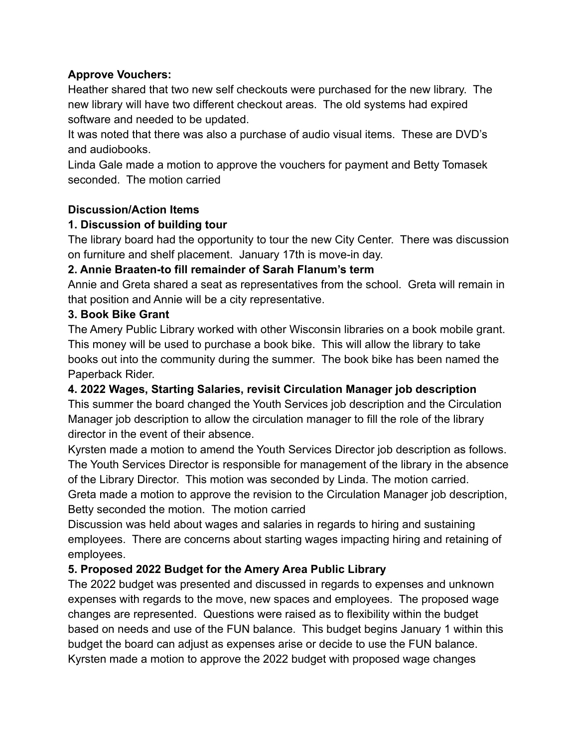## **Approve Vouchers:**

Heather shared that two new self checkouts were purchased for the new library. The new library will have two different checkout areas. The old systems had expired software and needed to be updated.

It was noted that there was also a purchase of audio visual items. These are DVD's and audiobooks.

Linda Gale made a motion to approve the vouchers for payment and Betty Tomasek seconded. The motion carried

## **Discussion/Action Items**

## **1. Discussion of building tour**

The library board had the opportunity to tour the new City Center. There was discussion on furniture and shelf placement. January 17th is move-in day.

# **2. Annie Braaten-to fill remainder of Sarah Flanum's term**

Annie and Greta shared a seat as representatives from the school. Greta will remain in that position and Annie will be a city representative.

## **3. Book Bike Grant**

The Amery Public Library worked with other Wisconsin libraries on a book mobile grant. This money will be used to purchase a book bike. This will allow the library to take books out into the community during the summer. The book bike has been named the Paperback Rider.

## **4. 2022 Wages, Starting Salaries, revisit Circulation Manager job description**

This summer the board changed the Youth Services job description and the Circulation Manager job description to allow the circulation manager to fill the role of the library director in the event of their absence.

Kyrsten made a motion to amend the Youth Services Director job description as follows. The Youth Services Director is responsible for management of the library in the absence of the Library Director. This motion was seconded by Linda. The motion carried. Greta made a motion to approve the revision to the Circulation Manager job description,

Betty seconded the motion. The motion carried

Discussion was held about wages and salaries in regards to hiring and sustaining employees. There are concerns about starting wages impacting hiring and retaining of employees.

# **5. Proposed 2022 Budget for the Amery Area Public Library**

The 2022 budget was presented and discussed in regards to expenses and unknown expenses with regards to the move, new spaces and employees. The proposed wage changes are represented. Questions were raised as to flexibility within the budget based on needs and use of the FUN balance. This budget begins January 1 within this budget the board can adjust as expenses arise or decide to use the FUN balance. Kyrsten made a motion to approve the 2022 budget with proposed wage changes